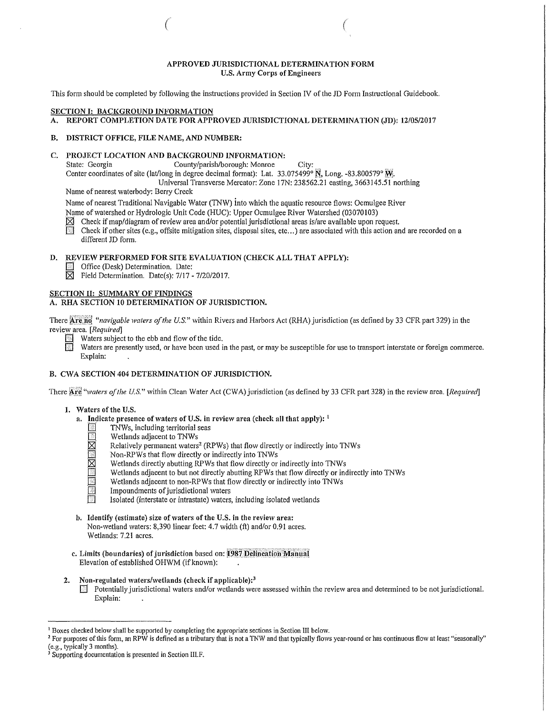## APPROVED JURISDICTIONAL DETERMINATION FORM U.S. Army Corps of Engineers

 $($ 

This form should be completed by following the instructions provided in Section IV of the JD Form Instructional Guidebook.

## **SECTION I: BACKGROUND INFORMATION**<br>A. REPORT COMPLETION DATE FOR APP

REPORT COMPLETION DATE FOR APPROVED JURISDICTIONAL DETERMINATION (JD): 12/05/2017

## B. DISTRICT OFFICE, FILE NAME, AND NUMBER:

# C. PROJECT LOCATION AND BACKGROUND INFORMATION:<br>State: Georgia County/parish/borough: Monroe

County/parish/borough: Monroe City:

Center coordinates of site (lat/long in degree decimal format): Lat. 33.075499°  $\rm N,$  Long. -83.800579°  $\rm N.$ 

Universal Transverse Mercator: Zone I 7N: 238562.21 easting, 3663145.51 northing

Name of nearest waterbody: Berry Creek

Name of nearest Traditional Navigable Water (TNW) into which the aquatic resource flows: Ocmulgee River Name of watershed or Hydrologic Unit Code (HUC): Upper Ocmulgee River Watershed (03070103)

Example Check if map/diagram of review area and/or potential jurisdictional areas is/are available upon request.<br>In Check if other sites (e.g., offsite mitigation sites, disposal sites, etc...) are associated with this ac Check if other sites (e.g., offsite mitigation sites, disposal sites, etc...) are associated with this action and are recorded on a different JD form.

## D. REVIEW PERFORMED FOR SITE EVALUATION (CHECK ALL THAT APPLY):<br> **In Office (Desk) Determination** Date:

- 
- Office (Desk) Determination. Date:<br> $\boxtimes$  Field Determination. Date(s): 7/17 -Field Determination. Date(s): 7/17 - 7/20/2017.

## SECTION II: SUMMARY OF FINDINGS

## A. RHA SECTION 10 DETERMINATION OF JURISDICTION.

There Are not "navigable waters of the U.S." within Rivers and Harbors Act (RHA) jurisdiction (as defined by 33 CFR part 329) in the review area. [Required]

- **1** Waters subject to the ebb and flow of the tide.<br>
Waters are presently used, or have been used i
	- Waters are presently used, or have been used in the past, or may be susceptible for use to transport interstate or foreign commerce. Explain:

### B. CWA SECTION 404 DETERMINATION OF JURISDICTION.

There Are<sup>4</sup> 'waters of the U.S." within Clean Water Act (CWA) jurisdiction (as defined by 33 CFR part 328) in the review area. [Required]

- 1. Waters of the U.S.
	- a. Indicate presence of waters of U.S. in review area (check all that apply):  $\frac{1}{1}$ 
		- TNWs, including territorial seas
		-
		- $\boxtimes$  Wetlands adjacent to TNWs<br> $\boxtimes$  Relatively permanent waters  $\boxtimes$  Relatively permanent waters<sup>2</sup> (RPWs) that flow directly or indirectly into TNWs<br>Non-RPWs that flow directly or indirectly into TNWs
		-
		- $\boxtimes$  Non-RPWs that flow directly or indirectly into TNWs<br> $\boxtimes$  Wetlands directly abutting RPWs that flow directly or Wetlands directly abutting RPWs that flow directly or indirectly into TNWs
			- Wetlands adjacent to but not directly abutting RPWs that flow directly or indirectly into TNWs
		- **EXECUTE Wetlands adjacent to non-RPWs that flow directly or indirectly into TNWs**<br>Impoundments of jurisdictional waters<br>Isolated (interstate or intrastate) waters, including isolated wetlands
		- Impoundments of jurisdictional waters
		- 0 Isolated (interstate or intrastate) waters, including isolated wetlands
	- b. Identify (estimate) size of waters of the U.S. in the review area: Non-wetland waters: 8,390 linear feet: 4.7 width (ft) and/or 0.91 acres. Wetlands: 7.21 acres.
	- c. Limits (boundaries) of jurisdiction based on: 1987 Delineation Manual Elevation of established OHWM (ifknown):
- 2. Non-regulated waters/wetlands (check if applicable):<sup>3</sup>
	- $\Box$  Potentially jurisdictional waters and/or wetlands were assessed within the review area and determined to be not jurisdictional. Explain:

<sup>&</sup>lt;sup>1</sup> Boxes checked below shall be supported by completing the appropriate sections in Section III below.

<sup>&</sup>lt;sup>2</sup> For purposes of this form, an RPW is defined as a tributary that is not a TNW and that typically flows year-round or has continuous flow at least "seasonally" (e.g., typically 3 months).

Supporting documentation is presented in Section III.F.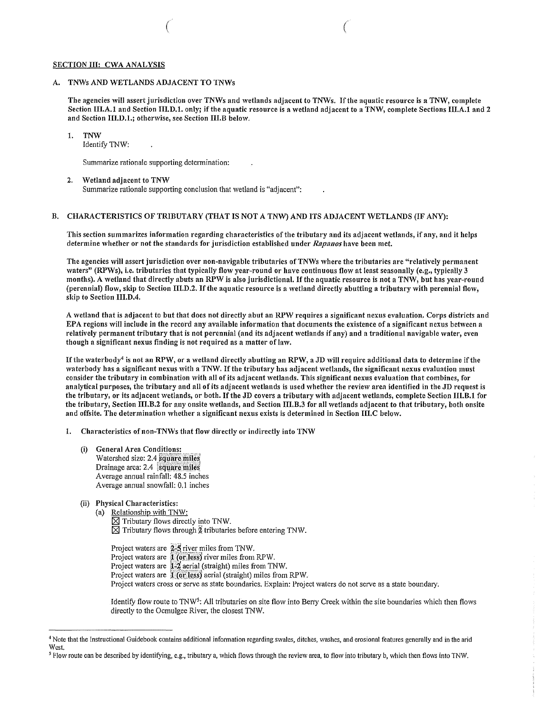#### SECTION III: CWA ANALYSIS

### A. TNWs AND WETLANDS ADJACENT TO TNWs

The agencies will assert jurisdiction over TNWs and wetlands adjacent to TNWs. Ifthe aquatic resource is a TNW, complete Section III.A.1 and Section III.D.1. only; if the aquatic resource is a wetland adjacent to a TNW, complete Sections III.A.1 and 2 and Section 111.D.I.; otherwise, see Section Ill.B below.

( *(* 

## 1. TNW

Identify 1NW:

Summarize rationale supporting determination:

#### 2. Wetland adjacent to TNW

Summarize rationale supporting conclusion that wetland is "adjacent":

#### B. CHARACTERISTICS OF TRIBUTARY (THAT IS NOT A TNW) AND ITS ADJACENT WETLANDS (IF ANY):

This section summarizes information regarding characteristics of the tributary and its adjacent wetlands, if any, and it helps determine whether or not the standards for jurisdiction established under *Rapanos* have been met.

The agencies will assert jurisdiction over non-navigable tributaries of TNWs where the tributaries are "relatively permanent waters" (RPWs), i.e. tributaries that typically flow year-round or have continuous flow at least seasonally (e.g., typically 3 months). A wetland that directly abuts an RPW is also jurisdictional. Ifthe aquatic resource is not a TNW, but has year-round (perennial) flow, skip to Section 111.D.2. Ifthe aquatic resource is a wetland directly abutting a tributary with perennial flow, skip to Section III.D.4.

A wetland that is adjacent to but that does not directly abut an RPW requires a significant nexus evaluation. Corps districts and EPA regions will include in the record any available information that documents the existence of a significant nexus between a relatively permanent tributary that is not perennial (and its adjacent wetlands if any) and a traditional navigable water, even though a significant nexus finding is not required as a matter of law.

If the waterbody<sup>4</sup> is not an RPW, or a wetland directly abutting an RPW, a JD will require additional data to determine if the waterbody has a significant nexus with a TNW. If the tributary has adjacent wetlands, the significant nexus evaluation must consider the tributary in combination with all of its adjacent wetlands. This significant nexus evaluation that combines, for analytical purposes, the tributary and all of its adjacent wetlands is used whether the review area identified in the JD requestis the tributary, or its adjacent wetlands, or both. Ifthe JD covers a tributary with adjacent wetlands, complete Section Ill.B.1 for the tributary, Section III.B.2 for any onsite wetlands, and Section III.B.3 for all wetlands adjacent to that tributary, both onsite and offsite. The determination whether a significant nexus exists is determined in Section III.C below.

1. Characteristics of non-TNWs that flow directly or indirectly into TNW

- (i) General Area Conditions: Watershed size: 2.4 square miles Drainage area: 2.4 square miles Average annual rainfall: 48.5 inches Average annual snowfall: 0.1 inches
- (ii) Physical Characteristics:
	- (a) Relationship with TNW:  $\boxtimes$  Tributary flows directly into TNW.  $\boxtimes$  Tributary flows through  $\frac{1}{2}$  tributaries before entering TNW.

Project waters are 2-5 river miles from TNW. Project waters are **1 (or less)** river miles from RPW. Project waters are  $\frac{1}{2}$  aerial (straight) miles from TNW. Project waters are  $1$  (or less) aerial (straight) miles from RPW. Project waters cross or serve as state boundaries. Explain: Project waters do not serve as a state boundary.

Identify flow route to TNW5: All tributaries on site flow into Berry Creek within the site boundaries which then flows directly to the Ocmulgee River, the closest TNW.

<sup>4</sup> Note that the Instructional Guidebook contains additional information regarding swalcs, ditches, washes, and erosional features generally and in the arid West.

*<sup>5</sup>* Flow route can be described by identifying, e.g., tributary a, which flows through the review area, to flow into tributary b, which then flows into TNW.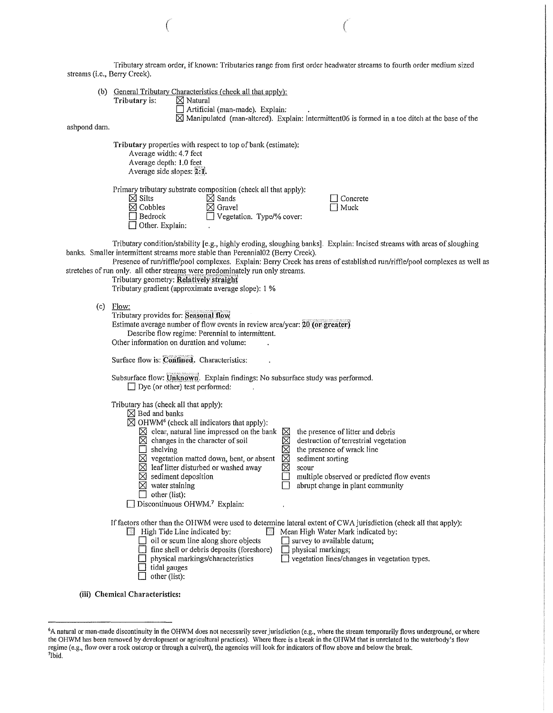Tributary stream order, if known: Tributaries range from first order headwater streams to fourth order medium sized streams (i.e., Berry Creek).

(b)  $\frac{General Tributary Characteristics (check all that apply):}{N\times Natural}$ 

Artificial (man-made). Explain:  $\boxtimes$  Manipulated (man-altered). Explain: Intermittent06 is formed in a toe ditch at the base of the

ashpond dam.

Tributary properties with respect to top of bank (estimate):

Average width: 4.7 feet Average depth: 1.0 feet Average side slopes: 2:1.

Tributary is:

Primary tributary substrate composition (check all that apply):<br>  $\boxtimes$  Silts  $\boxtimes$  Sands

| IXI SIIts              |
|------------------------|
| $\boxtimes$ Cobbles    |
| $\Box$ Bedrock         |
| $\Box$ Other. Explain: |

 $\boxtimes$  Gravel □ Vegetation. Type/% cover:  $\square$  Concrete

 $\left($ 

Tributary condition/stability [e.g., highly eroding, sloughing banks]. Explain: Incised streams with areas ofsloughing banks. Smaller intermittent streams more stable than Perennial02 (Berry Creek).

Presence of run/riffle/pool complexes. Explain: Berry Creek has areas of established run/riffle/pool complexes as well as stretches of run only. all other streams were predominately run only streams.

Tributary geometry: Relatively straight

Tributary gradient (approximate average slope): 1 %

| ۱O۷<br>w |  |
|----------|--|
|----------|--|

| FRW.<br>Tributary provides for: Seasonal flow<br>Estimate average number of flow events in review area/year: 20 (or greater)<br>Describe flow regime: Perennial to intermittent.<br>Other information on duration and volume:                                                                                                                                                                                                                                                                                                                                                                                                                                                                                                               |
|---------------------------------------------------------------------------------------------------------------------------------------------------------------------------------------------------------------------------------------------------------------------------------------------------------------------------------------------------------------------------------------------------------------------------------------------------------------------------------------------------------------------------------------------------------------------------------------------------------------------------------------------------------------------------------------------------------------------------------------------|
| Surface flow is: Confined. Characteristics:                                                                                                                                                                                                                                                                                                                                                                                                                                                                                                                                                                                                                                                                                                 |
| Subsurface flow: Unknown. Explain findings: No subsurface study was performed.<br>$\Box$ Dye (or other) test performed:                                                                                                                                                                                                                                                                                                                                                                                                                                                                                                                                                                                                                     |
| Tributary has (check all that apply):<br>$\boxtimes$ Bed and banks<br>$\boxtimes$ OHWM <sup>6</sup> (check all indicators that apply):<br>$\boxtimes$ clear, natural line impressed on the bank<br>⊠<br>the presence of litter and debris<br>⊠<br>$\boxtimes$ changes in the character of soil<br>destruction of terrestrial vegetation<br>⊠<br>the presence of wrack line<br>shelving<br>⊠<br>$\boxtimes$ vegetation matted down, bent, or absent<br>sediment sorting<br>⊠<br>$\boxtimes$ leaf litter disturbed or washed away<br>scour<br>⊠<br>sediment deposition<br>multiple observed or predicted flow events<br>⊠<br>water staining<br>abrupt change in plant community<br>other (list):<br>Discontinuous OHWM. <sup>7</sup> Explain: |
| If factors other than the OHWM were used to determine lateral extent of CWA jurisdiction (check all that apply):<br>High Tide Line indicated by:<br>瀨<br>Mean High Water Mark indicated by:<br>圈<br>oil or scum line along shore objects<br>survey to available datum;<br>$\Box$ fine shell or debris deposits (foreshore)<br>physical markings;<br>vegetation lines/changes in vegetation types.<br>physical markings/characteristics<br>tidal gauges<br>other (list):                                                                                                                                                                                                                                                                     |

(iii) Chemical Characteristics:

<sup>6</sup> A natural or man-made discontinuity in the OHWM does not necessarily sever jurisdiction (e.g., where the stream temporarily flows underground, or where the OHWM has been removed by development or agricultural practices). Where there is a break in the OIIWM that is unrelated to the waterbody's flow regime (e.g., flow over a rock outcrop or through a culvert), the agencies will look for indicators oftlow above and below the break. 7Ibid.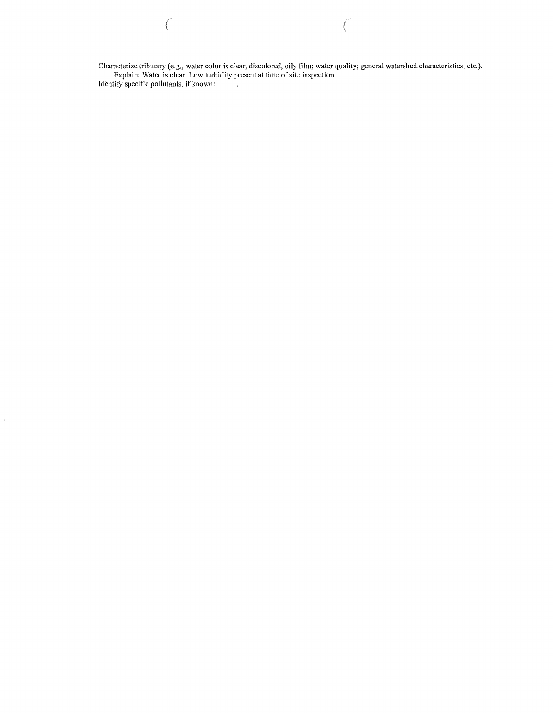Characterize tributary (e.g., water color is clear, discolored, oily film; water quality; general watershed characteristics, etc.). Explain: Water is clear. Low turbidity present at time of site inspection. Identify specific pollutants, if known:

 $\bigg($ 

 $\begin{pmatrix} 1 & 0 & 0 \\ 0 & 0 & 0 \\ 0 & 0 & 0 \\ 0 & 0 & 0 \\ 0 & 0 & 0 \\ 0 & 0 & 0 \\ 0 & 0 & 0 \\ 0 & 0 & 0 \\ 0 & 0 & 0 \\ 0 & 0 & 0 & 0 \\ 0 & 0 & 0 & 0 \\ 0 & 0 & 0 & 0 \\ 0 & 0 & 0 & 0 \\ 0 & 0 & 0 & 0 \\ 0 & 0 & 0 & 0 & 0 \\ 0 & 0 & 0 & 0 & 0 \\ 0 & 0 & 0 & 0 & 0 \\ 0 & 0 & 0 & 0 & 0 \\ 0 & 0 & 0 & 0 &$ 

 $\hat{\boldsymbol{\epsilon}}$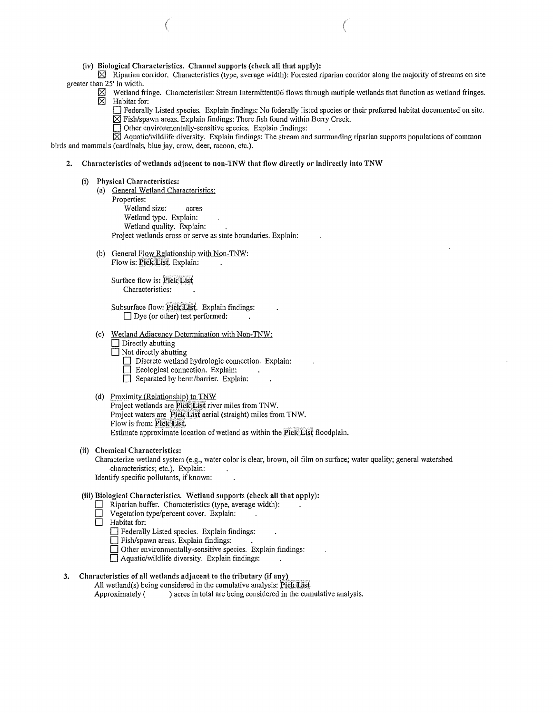(iv) Biological Characteristics. Channel supports (check all that apply):

 $\boxtimes$  Riparian corridor. Characteristics (type, average width): Forested riparian corridor along the majority of streams on site greater than 25' in width.

- $\boxtimes$  Wetland fringe. Characteristics: Stream Intermittent06 flows through mutiple wetlands that function as wetland fringes.<br>  $\boxtimes$  Habitat for: ~ Habitat for:
	- D Federally Listed species. Explain findings: No federally listed species or their preferred habitat documented on site.  $\boxtimes$  Fish/spawn areas. Explain findings: There fish found within Berry Creek.
	- $\Box$  Other environmentally-sensitive species. Explain findings:

 $\boxtimes$  Aquatic/wildlife diversity. Explain findings: The stream and surrounding riparian supports populations of common birds and mammals (cardinals, blue jay, crow, deer, racoon, etc.).

 $($ 

- 2. Characteristics of wetlands adjacent to non-TNW that flow directly or indirectly into TNW
	- (i) Physical Characteristics:
		- (a) General Wetland Characteristics:
			- Properties:
				- Wetland size: acres
				- Wetland type. Explain:
				- Wetland quality. Explain:

Project wetlands cross or serve as state boundaries. Explain:

(b) General Flow Relationship with Non-TNW: Flow is: Pick List. Explain:

> Surface flow is: Pick List Characteristics:

Subsurface flow: Pick List. Explain findings:  $\Box$  Dye (or other) test performed:

- (c) Wetland Adjacency Determination with Non-TNW:
	- $\Box$  Directly abutting
	- $\Box$  Not directly abutting
		- $\Box$  Discrete wetland hydrologic connection. Explain:
		- D Ecological connection. Explain:
		- Separated by berm/barrier. Explain:
- (d) Proximity (Relationship) to TNW

Project wetlands are Pick List river miles from TNW. Project waters are Pick List aerial (straight) miles from TNW. Flow is from: Pick List. Estimate approximate location of wetland as within the Pick List floodplain.

## (ii) Chemical Characteristics:

Characterize wetland system (e.g., water color is clear, brown, oil film on surface; water quality; general watershed characteristics; etc.). Explain:

Identify specific pollutants, if known:

#### (iii) Biological Characteristics. Wetland supports (check all that apply):

- Riparian buffer. Characteristics (type, average width):
- $\Box$  Vegetation type/percent cover. Explain:
- $\Box$  Habitat for:
	- D Federally Listed species. Explain findings:
	- D Fish/spawn areas. Explain findings:
	- $\Box$  Other environmentally-sensitive species. Explain findings:
	- $\Box$  Aquatic/wildlife diversity. Explain findings:

## 3. Characteristics of all wetlands adjacent to the tributary (if any)

All wetland(s) being considered in the cumulative analysis:  $PickList$ Approximately () acres in total are being considered in the cumulative analysis.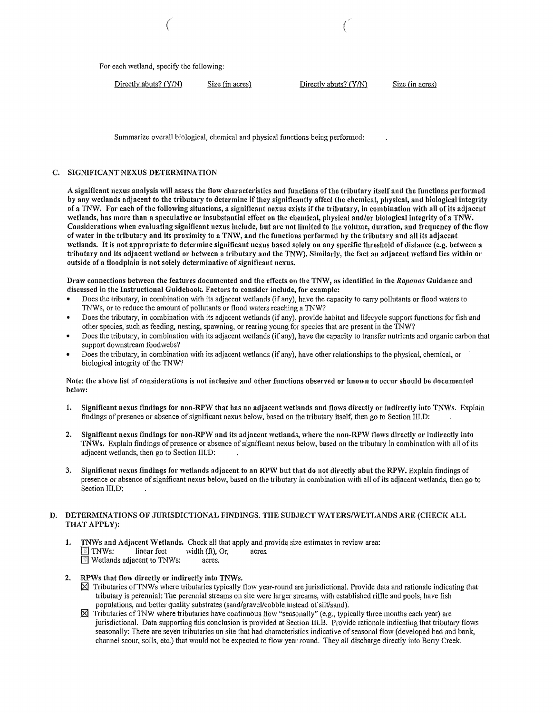For each wetland, specify the following:

| Directly abuts? (Y/N) | Size (in acres) | Directly ab |
|-----------------------|-----------------|-------------|
|-----------------------|-----------------|-------------|

 $P(X|Y|X)$  Size (in acres)

Summarize overall biological, chemical and physical functions being performed:

## C. SIGNIFICANT NEXUS DETERMINATION

A significant nexus analysis will assess the flow characteristics and functions of the tributary itself and the functions performed by any wetlands adjacent to the tributary to determine if they significantly affect the chemical, physical, and biological integrity of a TNW. For each of the following situations, a significant nexus exists ifthe tributary, in combination with all of its adjacent wetlands, has more than a speculative or insubstantial effect on the chemical, physical and/or biological integrity ofa TNW. Considerations when evaluating significant nexus include, but are not limited to the volume, duration, and frequency of the flow of water in the tributary and its proximity to a TNW, and the functions performed by the tributary and all its adjacent wetlands. It is not appropriate to determine significant nexus based solely on any specific threshold of distance (e.g. between a tributary and its adjacent wetland or between a tributary and the TNW). Similarly, the fact an adjacent wetland lies within or outside of a floodplain is not solely determinative of significant nexus.

Draw connections between the features documented and the effects on the TNW, as identified in the *Rapauos* Guidance and discussed in the Instructional Guidebook. Factors to consider include, for example:

- Does the tributary, in combination with its adjacent wetlands (if any), have the capacity to carry pollutants or flood waters to TNWs, or to reduce the amount of pollutants or flood waters reaching a TNW?
- Does the tributary, in combination with its adjacent wetlands (if any), provide habitat and lifecycle support functions for fish and other species, such as feeding, nesting, spawning, or rearing young for species that arc present in the TNW?
- Does the tributary, in combination with its adjacent wetlands (if any), have the capacity to transfer nutrients and organic carbon that support downstream foodwebs?
- Does the tributary, in combination with its adjacent wetlands (if any), have other relationships to the physical, chemical, or biological integrity of the TNW?

### Note: the above list of considerations is not inclusive and other functions observed or known to occur should be documented below:

- 1. Significant nexus findings for non-RPW that has no adjacent wetlands and flows directly or indirectly into TNWs. Explain findings of presence or absence ofsignificant nexus below, based on the tributary itself, then go to Section III.D:
- 2. Significant nexus findings for non-RPW and its adjacent wetlands, where the non-RPW flows directly or indirectly into TNWs. Explain findings of presence or absence of significant nexus below, based on the tributary in combination with all of its adjacent wetlands, then go to Section III.D:
- 3. Significant nexus findings for wetlands adjacent to an RPW but that do not directly abut the RPW. Explain findings of presence or absence ofsignificant nexus below, based on the tributary in combination with all ofits adjacent wetlands, then go to Section III.D:

## D. DETERMINATIONS OF JURISDICTIONAL FINDINGS, THE SUBJECT WATERS/WETLANDS ARE (CHECK ALL THAT APPLY):

- 1. TNWs and Adjacent Wetlands. Check all that apply and provide size estimates in review area:  $\Box$  TNWs: linear feet width (ft), Or, acres. **E** Wetlands adjacent to TNWs: acres.
- 2. RPWs that flow directly or indirectly into TNWs.
	- $\boxtimes$  Tributaries of TNWs where tributaries typically flow year-round are jurisdictional. Provide data and rationale indicating that tributary is perennial: The perennial streams on site were larger streams, with established riffle and pools, have fish populations, and better quality substrates (sand/gravel/cobble instead of silt/sand).
	- $\boxtimes$  Tributaries of TNW where tributaries have continuous flow "seasonally" (e.g., typically three months each year) are jurisdictional. Data supporting this conclusion is provided at Section III.B. Provide rationale indicating that tributary flows seasonally: There are seven tributaries on site that had characteristics indicative of seasonal flow (developed bed and bank, channel scour, soils, etc.) that would not be expected to flow year round. They all discharge directly into Berry Creek.

( *(*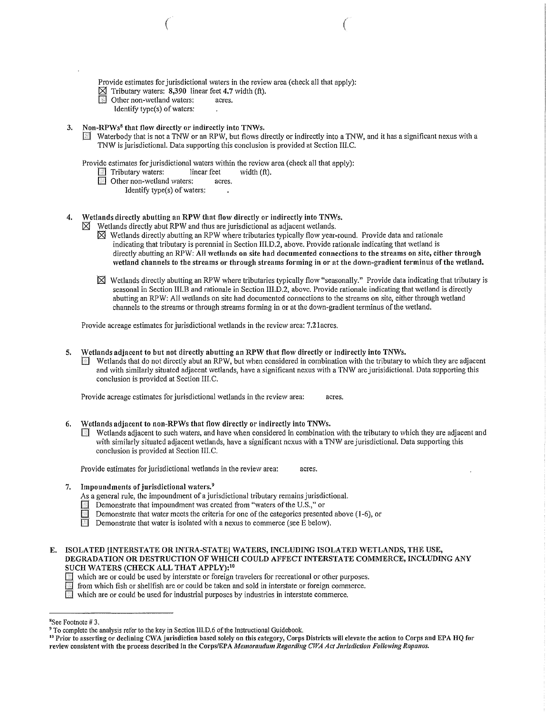Provide estimates for jurisdictional waters in the review area (check all that apply):

 $($ 

- $\boxtimes$  Tributary waters: 8,390 linear feet 4.7 width (ft).<br>
Other non-wetland waters: acres.
- Other non-wetland waters: acres.
	- Identify type(s) of waters:
- 3. Non-RPWs<sup>8</sup> that flow directly or indirectly into TNWs.
	- Waterbody that is not a TNW or an RPW, but flows directly or indirectly into a TNW, and it has a significant nexus with a TNW is jurisdictional. Data supporting this conclusion is provided at Section III.C.

Provide estimates for jurisdictional waters within the review area (check all that apply):<br>
Tributary waters: linear feet width (ft).

- 
- Tributary waters: linear feet linear feet  $\Box$  Other non-wetland waters: acres.  $\blacksquare$  Other non-wetland waters:
	- Identify type(s) of waters:
- 4. Wetlands directly abutting an RPW that flow directly or indirectly into TNWs.
	- Wetlands directly abut RPW and thus are jurisdictional as adjacent wetlands.
		- $\boxtimes$  Wetlands directly abutting an RPW where tributaries typically flow year-round. Provide data and rationale indicating that tributary is perennial in Section III.D.2, above. Provide rationale indicating that wetland is directly abutting an RPW: All wetlands on site had documented connections to the streams on site, either through wetland channels to the streams or through streams forming in or at the down-gradient terminus of the wetland.
		- $\boxtimes$  Wetlands directly abutting an RPW where tributaries typically flow "seasonally." Provide data indicating that tributary is seasonal in Section III.B and rationale in Section III.D.2, above. Provide rationale indicating that wetland is directly abutting an RPW: All wetlands on site had documented connections to the streams on site, either through wetland channels to the streams or through streams forming in or at the down-gradient terminus of the wetland.

Provide acreage estimates for jurisdictional wetlands in the review area: 7.21 acres.

- 5. Wetlands adjacent to but not directly abutting an RPW that flow directly or indirectly into TNWs.
	- $\blacksquare$  Wetlands that do not directly abut an RPW, but when considered in combination with the tributary to which they are adjacent and with similarly situated adjacent wetlands, have a significant nexus with a TNW are jurisidictional. Data supporting this conclusion is provided at Section III.C.

Provide acreage estimates for jurisdictional wetlands in the review area: acres.

- 6. Wetlands adjacent to non-RPWs that flow directly or indirectly into TNWs.
	- $\mathbb{F}$  Wetlands adjacent to such waters, and have when considered in combination with the tributary to which they are adjacent and with similarly situated adjacent wetlands, have a significant nexus with a TNW are jurisdictional. Data supporting this conclusion is provided at Section III.C.

Provide estimates for jurisdictional wetlands in the review area: acres.

- 7. Impoundments of jurisdictional waters.<sup>9</sup>
	- As a general rule, the impoundment of a jurisdictional tributary remains jurisdictional.
	- **Demonstrate that impoundment was created from "waters of the U.S.," or**
	- Demonstrate that water meets the criteria for one of the categories presented above (1-6), or  $\Box$  Demonstrate that water is isolated with a nexus to commerce (see E below).
	- Demonstrate that water is isolated with a nexus to commerce (see E below).

E. ISOLATED [INTERSTATE OR INTRA-STATE] WATERS, INCLUDING ISOLATED WETLANDS, THE USE, DEGRADATION OR DESTRUCTION OF WHICH COULD AFFECT INTERSTATE COMMERCE, INCLUDING ANY SUCH WATERS (CHECK ALL THAT APPLY): <sup>10</sup>

[J which are or could be used by interstate or foreign travelers for recreational or other purposes.

from which fish or shellfish are or could be taken and sold in interstate or foreign commerce.

 $\sqrt{2}$  which are or could be used for industrial purposes by industries in interstate commerce.

<sup>&</sup>lt;sup>8</sup>See Footnote #3.

<sup>&</sup>lt;sup>9</sup> To complete the analysis refer to the key in Section III.D.6 of the Instructional Guidebook.

 $^{10}$  Prior to asserting or declining CWA jurisdiction based solely on this category, Corps Districts will elevate the action to Corps and EPA HQ for review consistent with the process described in the Corps/EPA Memorandum Regarding CWA Act Jurisdiction Following Rapanos.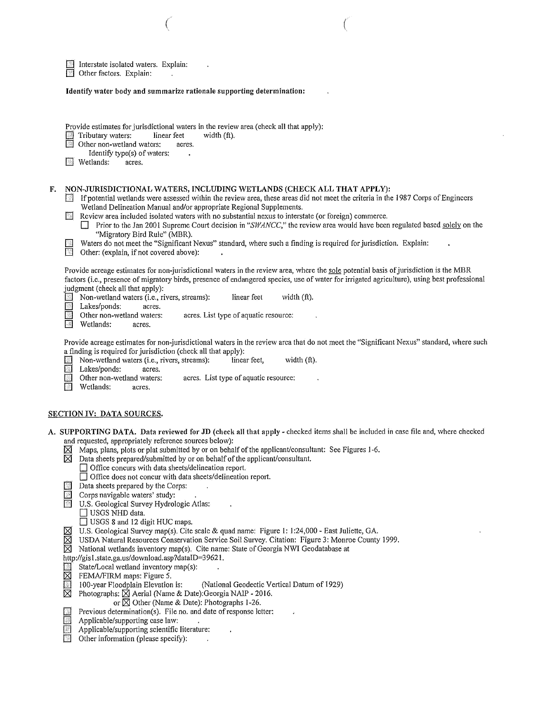|                                                                         | Interstate isolated waters. Explain:<br>Other factors. Explain:                                                                                                                                                                                                                                                                                                                                                                                                                                                                                                                                                                                                                                                                                                                                                                                                      |                                                                                                                                                                                                                                                                                                                                                                                                                                                                                                                                                                                                                                                                                                                                                                                                                                                                                                                                                                                                                                                                                                                                                                                                                        |
|-------------------------------------------------------------------------|----------------------------------------------------------------------------------------------------------------------------------------------------------------------------------------------------------------------------------------------------------------------------------------------------------------------------------------------------------------------------------------------------------------------------------------------------------------------------------------------------------------------------------------------------------------------------------------------------------------------------------------------------------------------------------------------------------------------------------------------------------------------------------------------------------------------------------------------------------------------|------------------------------------------------------------------------------------------------------------------------------------------------------------------------------------------------------------------------------------------------------------------------------------------------------------------------------------------------------------------------------------------------------------------------------------------------------------------------------------------------------------------------------------------------------------------------------------------------------------------------------------------------------------------------------------------------------------------------------------------------------------------------------------------------------------------------------------------------------------------------------------------------------------------------------------------------------------------------------------------------------------------------------------------------------------------------------------------------------------------------------------------------------------------------------------------------------------------------|
|                                                                         | Identify water body and summarize rationale supporting determination:                                                                                                                                                                                                                                                                                                                                                                                                                                                                                                                                                                                                                                                                                                                                                                                                |                                                                                                                                                                                                                                                                                                                                                                                                                                                                                                                                                                                                                                                                                                                                                                                                                                                                                                                                                                                                                                                                                                                                                                                                                        |
| <b>Wetlands:</b><br>F.<br>$\mathbb{Z}^2$<br>Wetlands:<br>$\mathbb{Z}^n$ | Tributary waters:<br>linear feet<br><sup>■</sup> Other non-wetland waters:<br>acres.<br>Identify type(s) of waters:<br>acres.<br>Wetland Delineation Manual and/or appropriate Regional Supplements.<br>"Migratory Bird Rule" (MBR).<br>Other: (explain, if not covered above):<br>judgment (check all that apply):<br>Non-wetland waters (i.e., rivers, streams):<br>Lakes/ponds:<br>acres.<br>Other non-wetland waters:<br>acres.<br>a finding is required for jurisdiction (check all that apply):<br>Non-wetland waters (i.e., rivers, streams):<br>Lakes/ponds:<br>acres.                                                                                                                                                                                                                                                                                       | Provide estimates for jurisdictional waters in the review area (check all that apply):<br>width (ft).<br>NON-JURISDICTIONAL WATERS, INCLUDING WETLANDS (CHECK ALL THAT APPLY):<br>If potential wetlands were assessed within the review area, these areas did not meet the criteria in the 1987 Corps of Engineers<br>Review area included isolated waters with no substantial nexus to interstate (or foreign) commerce.<br>Prior to the Jan 2001 Supreme Court decision in "SWANCC," the review area would have been regulated based solely on the<br>Waters do not meet the "Significant Nexus" standard, where such a finding is required for jurisdiction. Explain:<br>Provide acreage estimates for non-jurisdictional waters in the review area, where the sole potential basis of jurisdiction is the MBR<br>factors (i.e., presence of migratory birds, presence of endangered species, use of water for irrigated agriculture), using best professional<br>linear feet<br>width $(ft)$ .<br>acres. List type of aquatic resource:<br>Provide acreage estimates for non-jurisdictional waters in the review arca that do not meet the "Significant Nexus" standard, where such<br>width (ft).<br>linear feet, |
| Wetlands:                                                               | Other non-wetland waters:<br>acres.                                                                                                                                                                                                                                                                                                                                                                                                                                                                                                                                                                                                                                                                                                                                                                                                                                  | acres. List type of aquatic resource:                                                                                                                                                                                                                                                                                                                                                                                                                                                                                                                                                                                                                                                                                                                                                                                                                                                                                                                                                                                                                                                                                                                                                                                  |
|                                                                         | <u>SECTION IV: DATA SOURCES.</u>                                                                                                                                                                                                                                                                                                                                                                                                                                                                                                                                                                                                                                                                                                                                                                                                                                     |                                                                                                                                                                                                                                                                                                                                                                                                                                                                                                                                                                                                                                                                                                                                                                                                                                                                                                                                                                                                                                                                                                                                                                                                                        |
| ⊠<br>⊠<br>寰<br>⊠<br>⊠<br>⊠<br>⊠<br>寨<br>⊠<br>$\mathcal{A}$<br>鎉         | and requested, appropriately reference sources below):<br>□ Office concurs with data sheets/delineation report.<br>□ Office does not concur with data sheets/delineation report.<br>Data sheets prepared by the Corps:<br>Corps navigable waters' study:<br>U.S. Geological Survey Hydrologic Atlas:<br>$\Box$ USGS NHD data.<br>$\Box$ USGS 8 and 12 digit HUC maps.<br>http://gis1.state.ga.us/download.asp?dataID=39621.<br>State/Local wetland inventory map(s):<br>FEMA/FIRM maps: Figure 5.<br>100-year Floodplain Elevation is:<br>Photographs: $\boxtimes$ Aerial (Name & Date): Georgia NAIP - 2016.<br>or $\boxtimes$ Other (Name & Date): Photographs 1-26.<br>Previous determination(s). File no. and date of response letter:<br>Applicable/supporting case law:<br>Applicable/supporting scientific literature:<br>Other information (please specify): | A. SUPPORTING DATA. Data reviewed for JD (check all that apply - checked items shall be included in case file and, where checked<br>Maps, plans, plots or plat submitted by or on behalf of the applicant/consultant: See Figures 1-6.<br>Data sheets prepared/submitted by or on behalf of the applicant/consultant.<br>U.S. Geological Survey map(s). Cite scale & quad name: Figure 1: 1:24,000 - East Juliette, GA.<br>USDA Natural Resources Conservation Service Soil Survey. Citation: Figure 3: Monroe County 1999.<br>National wetlands inventory map(s). Cite name: State of Georgia NWI Geodatabase at<br>(National Geodectic Vertical Datum of 1929)                                                                                                                                                                                                                                                                                                                                                                                                                                                                                                                                                       |